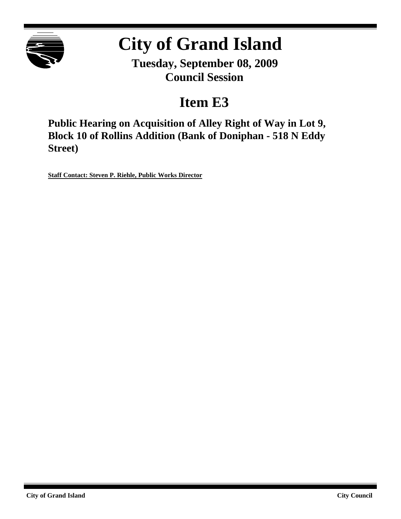

# **City of Grand Island**

**Tuesday, September 08, 2009 Council Session**

# **Item E3**

**Public Hearing on Acquisition of Alley Right of Way in Lot 9, Block 10 of Rollins Addition (Bank of Doniphan - 518 N Eddy Street)**

**Staff Contact: Steven P. Riehle, Public Works Director**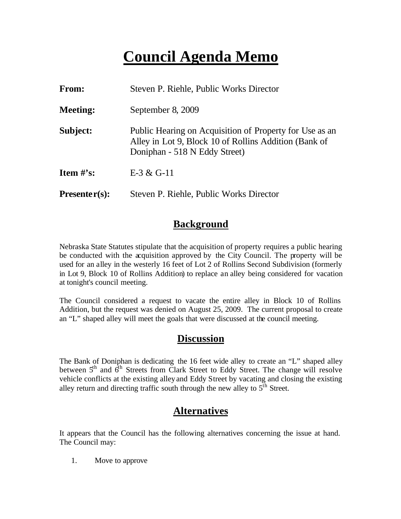# **Council Agenda Memo**

| From:                          | Steven P. Riehle, Public Works Director                                                                                                           |
|--------------------------------|---------------------------------------------------------------------------------------------------------------------------------------------------|
| <b>Meeting:</b>                | September 8, 2009                                                                                                                                 |
| Subject:                       | Public Hearing on Acquisition of Property for Use as an<br>Alley in Lot 9, Block 10 of Rollins Addition (Bank of<br>Doniphan - 518 N Eddy Street) |
| <b>Item <math>\#</math>'s:</b> | $E-3 & G-11$                                                                                                                                      |
| $Presenter(s):$                | Steven P. Riehle, Public Works Director                                                                                                           |

#### **Background**

Nebraska State Statutes stipulate that the acquisition of property requires a public hearing be conducted with the acquisition approved by the City Council. The property will be used for an alley in the westerly 16 feet of Lot 2 of Rollins Second Subdivision (formerly in Lot 9, Block 10 of Rollins Addition) to replace an alley being considered for vacation at tonight's council meeting.

The Council considered a request to vacate the entire alley in Block 10 of Rollins Addition, but the request was denied on August 25, 2009. The current proposal to create an "L" shaped alley will meet the goals that were discussed at the council meeting.

#### **Discussion**

The Bank of Doniphan is dedicating the 16 feet wide alley to create an "L" shaped alley between  $5<sup>th</sup>$  and  $6<sup>th</sup>$  Streets from Clark Street to Eddy Street. The change will resolve vehicle conflicts at the existing alley and Eddy Street by vacating and closing the existing alley return and directing traffic south through the new alley to  $5<sup>th</sup>$  Street.

### **Alternatives**

It appears that the Council has the following alternatives concerning the issue at hand. The Council may:

1. Move to approve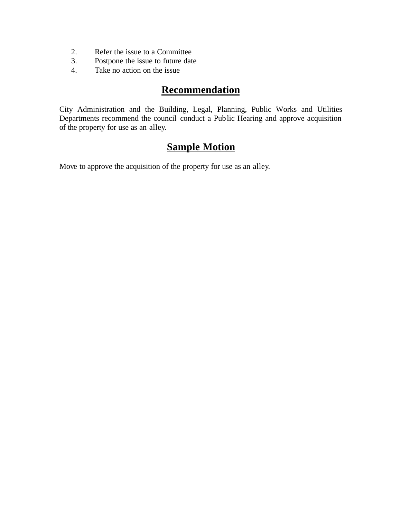- 2. Refer the issue to a Committee
- 3. Postpone the issue to future date
- 4. Take no action on the issue

#### **Recommendation**

City Administration and the Building, Legal, Planning, Public Works and Utilities Departments recommend the council conduct a Public Hearing and approve acquisition of the property for use as an alley.

### **Sample Motion**

Move to approve the acquisition of the property for use as an alley.